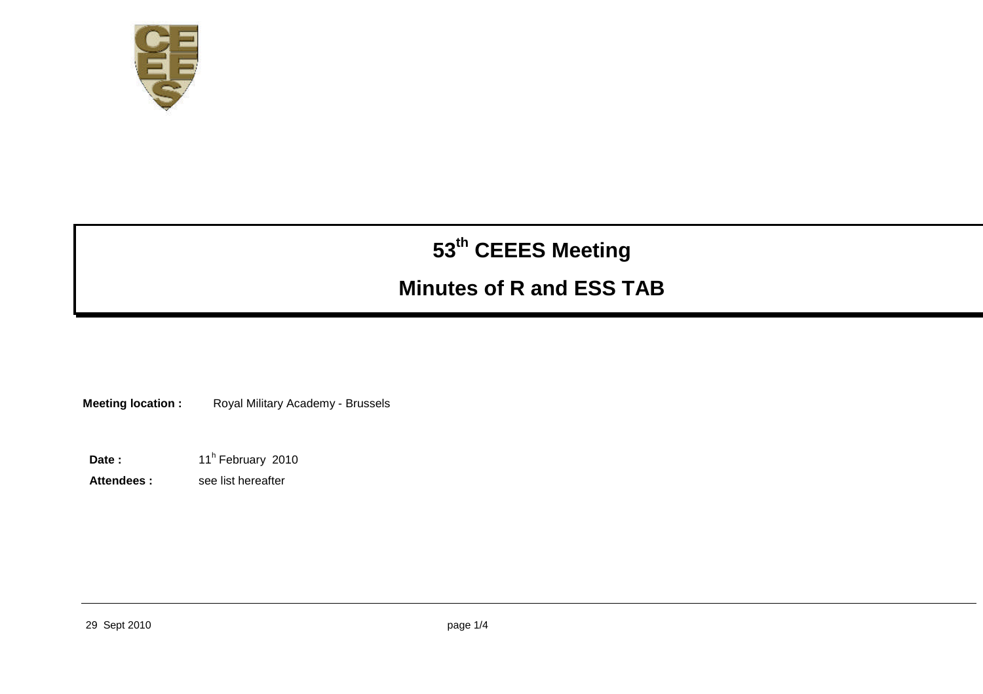

# **53th CEEES Meeting**

# **Minutes of R and ESS TAB**

**Meeting location :** Royal Military Academy - Brussels

Date : 11<sup>h</sup> February 2010

Attendees : see list hereafter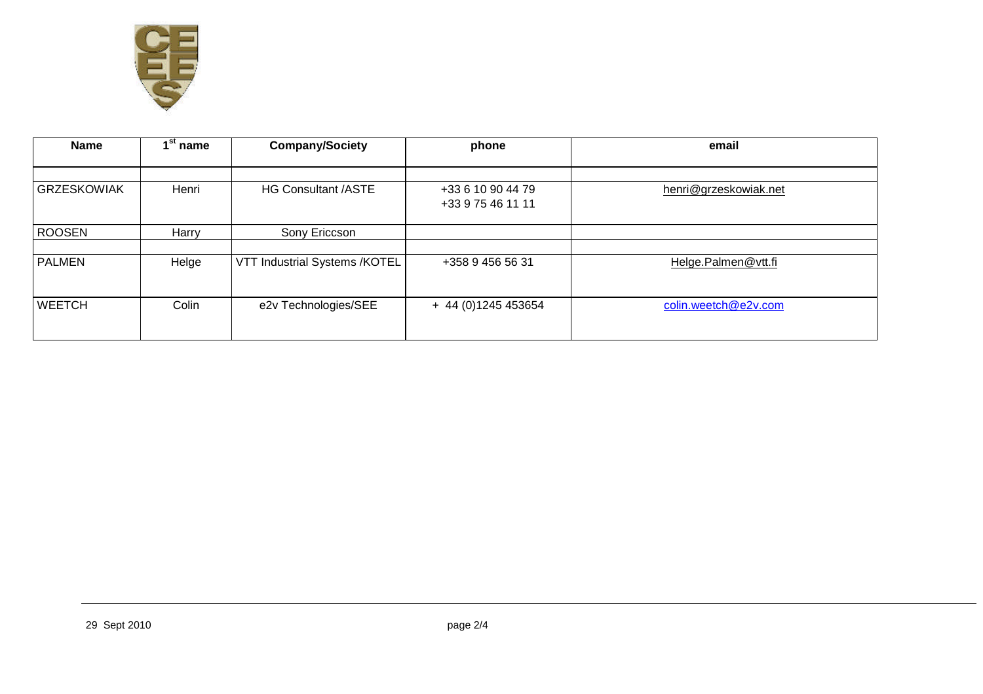

| <b>Name</b>        | ⊿st<br>' name | <b>Company/Society</b>        | phone                                  | email                 |
|--------------------|---------------|-------------------------------|----------------------------------------|-----------------------|
|                    |               |                               |                                        |                       |
| <b>GRZESKOWIAK</b> | Henri         | <b>HG Consultant /ASTE</b>    | +33 6 10 90 44 79<br>+33 9 75 46 11 11 | henri@grzeskowiak.net |
| <b>ROOSEN</b>      | Harry         | Sony Ericcson                 |                                        |                       |
|                    |               |                               |                                        |                       |
| <b>PALMEN</b>      | Helge         | VTT Industrial Systems /KOTEL | +358 9 456 56 31                       | Helge.Palmen@vtt.fi   |
| <b>WEETCH</b>      | Colin         | e2v Technologies/SEE          | + 44 (0) 1245 453654                   | colin.weetch@e2v.com  |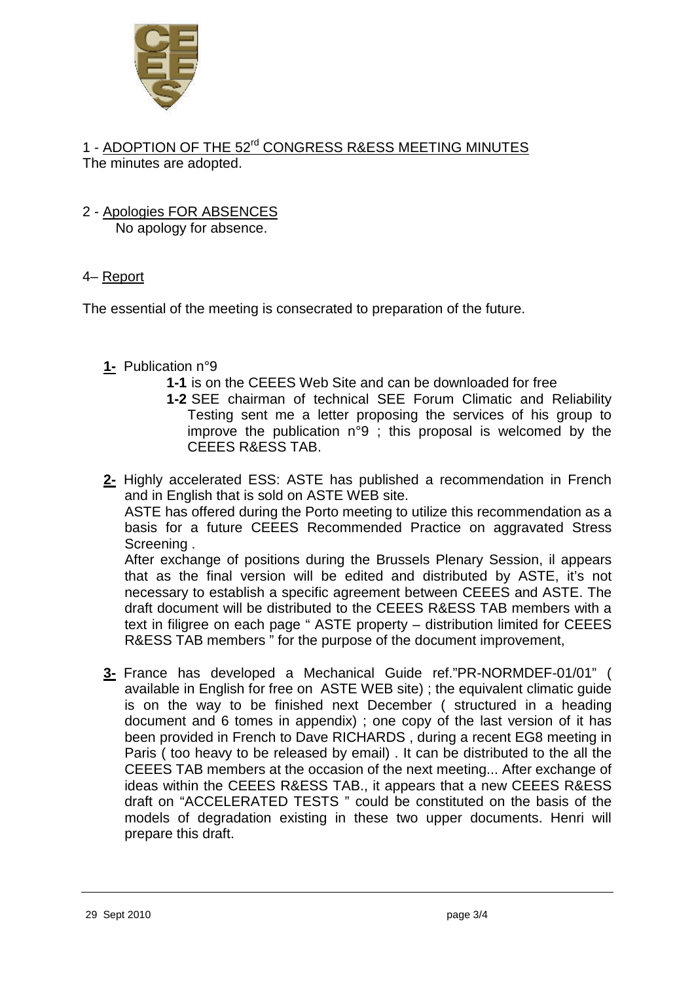

1 - ADOPTION OF THE 52<sup>rd</sup> CONGRESS R&ESS MEETING MINUTES The minutes are adopted.

#### 2 - Apologies FOR ABSENCES No apology for absence.

## 4– Report

The essential of the meeting is consecrated to preparation of the future.

## **1-** Publication n°9

- **1-1** is on the CEEES Web Site and can be downloaded for free
- **1-2** SEE chairman of technical SEE Forum Climatic and Reliability Testing sent me a letter proposing the services of his group to improve the publication n°9 ; this proposal is welcomed by the CEEES R&ESS TAB.

**2-** Highly accelerated ESS: ASTE has published a recommendation in French and in English that is sold on ASTE WEB site.

ASTE has offered during the Porto meeting to utilize this recommendation as a basis for a future CEEES Recommended Practice on aggravated Stress Screening .

After exchange of positions during the Brussels Plenary Session, il appears that as the final version will be edited and distributed by ASTE, it's not necessary to establish a specific agreement between CEEES and ASTE. The draft document will be distributed to the CEEES R&ESS TAB members with a text in filigree on each page " ASTE property – distribution limited for CEEES R&ESS TAB members " for the purpose of the document improvement,

**3-** France has developed a Mechanical Guide ref."PR-NORMDEF-01/01" ( available in English for free on ASTE WEB site) ; the equivalent climatic guide is on the way to be finished next December ( structured in a heading document and 6 tomes in appendix) ; one copy of the last version of it has been provided in French to Dave RICHARDS , during a recent EG8 meeting in Paris ( too heavy to be released by email) . It can be distributed to the all the CEEES TAB members at the occasion of the next meeting... After exchange of ideas within the CEEES R&ESS TAB., it appears that a new CEEES R&ESS draft on "ACCELERATED TESTS " could be constituted on the basis of the models of degradation existing in these two upper documents. Henri will prepare this draft.